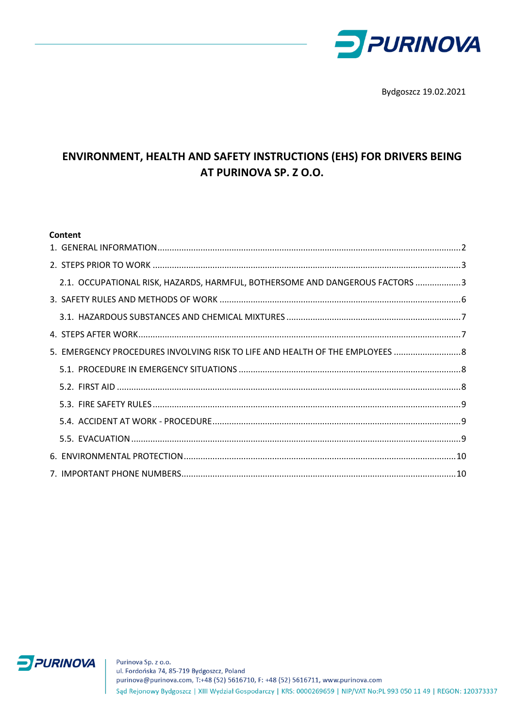

Bydgoszcz 19.02.2021

# ENVIRONMENT, HEALTH AND SAFETY INSTRUCTIONS (EHS) FOR DRIVERS BEING AT PURINOVA SP. Z O.O.

#### Content

| 2.1. OCCUPATIONAL RISK, HAZARDS, HARMFUL, BOTHERSOME AND DANGEROUS FACTORS 3  |  |
|-------------------------------------------------------------------------------|--|
|                                                                               |  |
|                                                                               |  |
|                                                                               |  |
| 5. EMERGENCY PROCEDURES INVOLVING RISK TO LIFE AND HEALTH OF THE EMPLOYEES  8 |  |
|                                                                               |  |
|                                                                               |  |
|                                                                               |  |
|                                                                               |  |
|                                                                               |  |
|                                                                               |  |
|                                                                               |  |

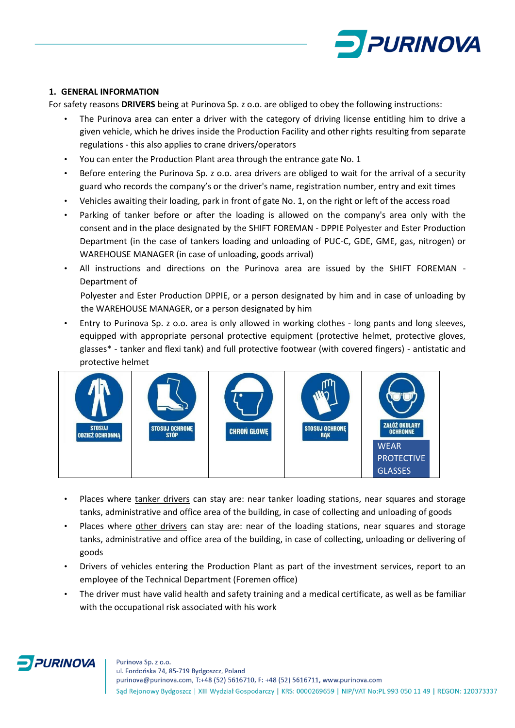

#### <span id="page-1-0"></span>**1. GENERAL INFORMATION**

For safety reasons **DRIVERS** being at Purinova Sp. z o.o. are obliged to obey the following instructions:

- The Purinova area can enter a driver with the category of driving license entitling him to drive a given vehicle, which he drives inside the Production Facility and other rights resulting from separate regulations - this also applies to crane drivers/operators
- You can enter the Production Plant area through the entrance gate No. 1
- Before entering the Purinova Sp. z o.o. area drivers are obliged to wait for the arrival of a security guard who records the company's or the driver's name, registration number, entry and exit times
- Vehicles awaiting their loading, park in front of gate No. 1, on the right or left of the access road
- Parking of tanker before or after the loading is allowed on the company's area only with the consent and in the place designated by the SHIFT FOREMAN - DPPIE Polyester and Ester Production Department (in the case of tankers loading and unloading of PUC-C, GDE, GME, gas, nitrogen) or WAREHOUSE MANAGER (in case of unloading, goods arrival)
- All instructions and directions on the Purinova area are issued by the SHIFT FOREMAN Department of

Polyester and Ester Production DPPIE, or a person designated by him and in case of unloading by the WAREHOUSE MANAGER, or a person designated by him

• Entry to Purinova Sp. z o.o. area is only allowed in working clothes - long pants and long sleeves, equipped with appropriate personal protective equipment (protective helmet, protective gloves, glasses\* - tanker and flexi tank) and full protective footwear (with covered fingers) - antistatic and protective helmet



- Places where tanker drivers can stay are: near tanker loading stations, near squares and storage tanks, administrative and office area of the building, in case of collecting and unloading of goods
- Places where other drivers can stay are: near of the loading stations, near squares and storage tanks, administrative and office area of the building, in case of collecting, unloading or delivering of goods
- Drivers of vehicles entering the Production Plant as part of the investment services, report to an employee of the Technical Department (Foremen office)
- The driver must have valid health and safety training and a medical certificate, as well as be familiar with the occupational risk associated with his work

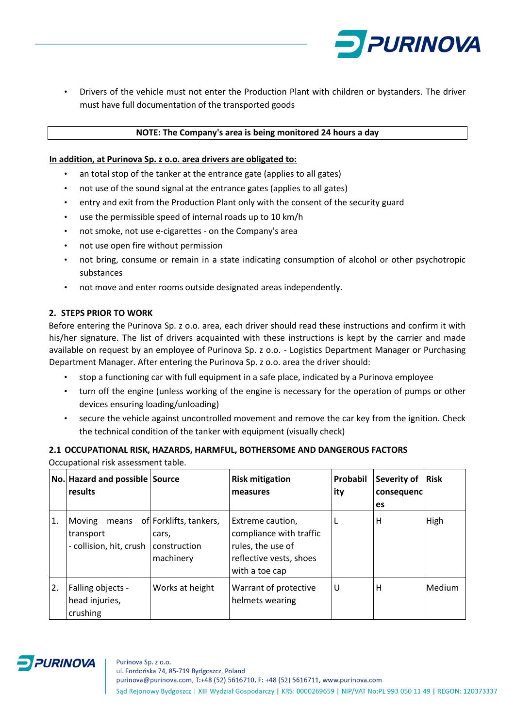

• Drivers of the vehicle must not enter the Production Plant with children or bystanders. The driver must have full documentation of the transported goods

#### **NOTE: The Company's area is being monitored 24 hours a day**

#### **In addition, at Purinova Sp. z o.o. area drivers are obligated to:**

- an total stop of the tanker at the entrance gate (applies to all gates)
- not use of the sound signal at the entrance gates (applies to all gates)
- entry and exit from the Production Plant only with the consent of the security guard
- use the permissible speed of internal roads up to 10 km/h
- not smoke, not use e-cigarettes on the Company's area
- not use open fire without permission
- not bring, consume or remain in a state indicating consumption of alcohol or other psychotropic substances
- not move and enter rooms outside designated areas independently.

# <span id="page-2-0"></span>**2. STEPS PRIOR TO WORK**

Before entering the Purinova Sp. z o.o. area, each driver should read these instructions and confirm it with his/her signature. The list of drivers acquainted with these instructions is kept by the carrier and made available on request by an employee of Purinova Sp. z o.o. - Logistics Department Manager or Purchasing Department Manager. After entering the Purinova Sp. z o.o. area the driver should:

- stop a functioning car with full equipment in a safe place, indicated by a Purinova employee
- turn off the engine (unless working of the engine is necessary for the operation of pumps or other devices ensuring loading/unloading)
- secure the vehicle against uncontrolled movement and remove the car key from the ignition. Check the technical condition of the tanker with equipment (visually check)

# <span id="page-2-1"></span>**2.1 OCCUPATIONAL RISK, HAZARDS, HARMFUL, BOTHERSOME AND DANGEROUS FACTORS** Occupational risk assessment table.

|    | No. Hazard and possible Source<br>results               |                                                              | <b>Risk mitigation</b><br>measures                                                                            | Probabil<br>ity | Severity of<br>consequenc<br>es | <b>Risk</b> |
|----|---------------------------------------------------------|--------------------------------------------------------------|---------------------------------------------------------------------------------------------------------------|-----------------|---------------------------------|-------------|
| 1. | Moving<br>means<br>transport<br>- collision, hit, crush | of Forklifts, tankers,<br>cars,<br>construction<br>machinery | Extreme caution,<br>compliance with traffic<br>rules, the use of<br>reflective vests, shoes<br>with a toe cap |                 | н                               | High        |
| 2. | Falling objects -<br>head injuries,<br>crushing         | Works at height                                              | Warrant of protective<br>helmets wearing                                                                      | U               | н                               | Medium      |

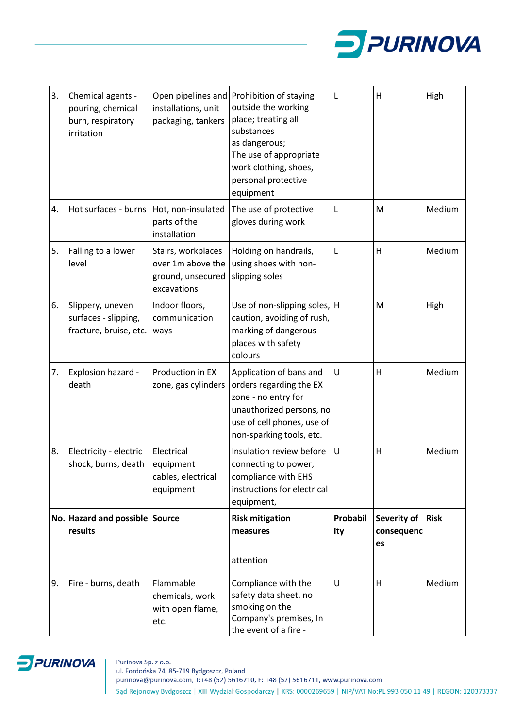

| 3. | Chemical agents -<br>pouring, chemical<br>burn, respiratory<br>irritation | installations, unit<br>packaging, tankers                                   | Open pipelines and Prohibition of staying<br>outside the working<br>place; treating all<br>substances<br>as dangerous;<br>The use of appropriate<br>work clothing, shoes,<br>personal protective<br>equipment | L               | H                               | High        |
|----|---------------------------------------------------------------------------|-----------------------------------------------------------------------------|---------------------------------------------------------------------------------------------------------------------------------------------------------------------------------------------------------------|-----------------|---------------------------------|-------------|
| 4. | Hot surfaces - burns                                                      | Hot, non-insulated<br>parts of the<br>installation                          | The use of protective<br>gloves during work                                                                                                                                                                   | L               | M                               | Medium      |
| 5. | Falling to a lower<br>level                                               | Stairs, workplaces<br>over 1m above the<br>ground, unsecured<br>excavations | Holding on handrails,<br>using shoes with non-<br>slipping soles                                                                                                                                              | L               | н                               | Medium      |
| 6. | Slippery, uneven<br>surfaces - slipping,<br>fracture, bruise, etc.        | Indoor floors,<br>communication<br>ways                                     | Use of non-slipping soles, H<br>caution, avoiding of rush,<br>marking of dangerous<br>places with safety<br>colours                                                                                           |                 | M                               | High        |
| 7. | Explosion hazard -<br>death                                               | Production in EX<br>zone, gas cylinders                                     | Application of bans and<br>orders regarding the EX<br>zone - no entry for<br>unauthorized persons, no<br>use of cell phones, use of<br>non-sparking tools, etc.                                               | U               | H                               | Medium      |
| 8. | Electricity - electric<br>shock, burns, death                             | Electrical<br>equipment<br>cables, electrical<br>equipment                  | Insulation review before<br>connecting to power,<br>compliance with EHS<br>instructions for electrical<br>equipment,                                                                                          | U               | н                               | Medium      |
|    | No. Hazard and possible Source<br>results                                 |                                                                             | <b>Risk mitigation</b><br>measures                                                                                                                                                                            | Probabil<br>ity | Severity of<br>consequenc<br>es | <b>Risk</b> |
|    |                                                                           |                                                                             | attention                                                                                                                                                                                                     |                 |                                 |             |
| 9. | Fire - burns, death                                                       | Flammable<br>chemicals, work<br>with open flame,<br>etc.                    | Compliance with the<br>safety data sheet, no<br>smoking on the<br>Company's premises, In<br>the event of a fire -                                                                                             | U               | н                               | Medium      |

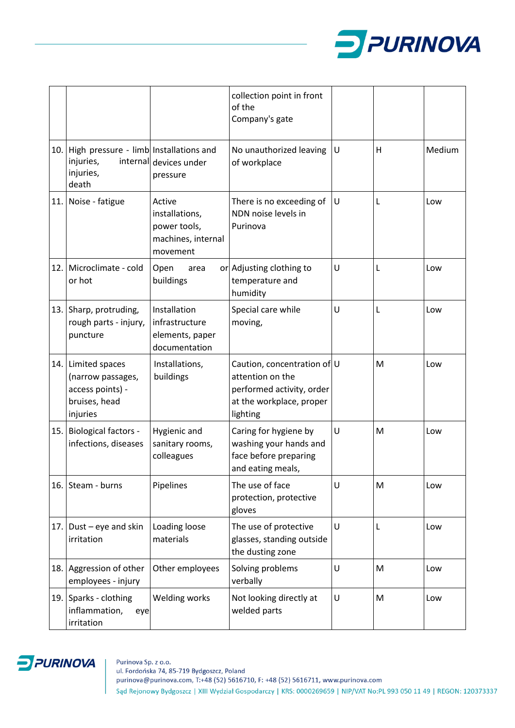

|     |                                                                                          |                                                                            | collection point in front<br>of the<br>Company's gate                                                                |   |   |        |
|-----|------------------------------------------------------------------------------------------|----------------------------------------------------------------------------|----------------------------------------------------------------------------------------------------------------------|---|---|--------|
| 10. | High pressure - limb Installations and<br>injuries,<br>injuries,<br>death                | internal devices under<br>pressure                                         | No unauthorized leaving<br>of workplace                                                                              | U | Н | Medium |
|     | 11. Noise - fatigue                                                                      | Active<br>installations,<br>power tools,<br>machines, internal<br>movement | There is no exceeding of<br>NDN noise levels in<br>Purinova                                                          | U | L | Low    |
| 12. | Microclimate - cold<br>or hot                                                            | Open<br>area<br>buildings                                                  | or Adjusting clothing to<br>temperature and<br>humidity                                                              | U | L | Low    |
|     | 13. Sharp, protruding,<br>rough parts - injury,<br>puncture                              | Installation<br>infrastructure<br>elements, paper<br>documentation         | Special care while<br>moving,                                                                                        | U | L | Low    |
|     | 14. Limited spaces<br>(narrow passages,<br>access points) -<br>bruises, head<br>injuries | Installations,<br>buildings                                                | Caution, concentration of U<br>attention on the<br>performed activity, order<br>at the workplace, proper<br>lighting |   | M | Low    |
| 15. | <b>Biological factors -</b><br>infections, diseases                                      | Hygienic and<br>sanitary rooms,<br>colleagues                              | Caring for hygiene by<br>washing your hands and<br>face before preparing<br>and eating meals,                        | U | M | Low    |
|     | 16. Steam - burns                                                                        | Pipelines                                                                  | The use of face<br>protection, protective<br>gloves                                                                  | U | M | Low    |
|     | 17. Dust – eye and skin<br>irritation                                                    | Loading loose<br>materials                                                 | The use of protective<br>glasses, standing outside<br>the dusting zone                                               | U | L | Low    |
| 18. | Aggression of other<br>employees - injury                                                | Other employees                                                            | Solving problems<br>verbally                                                                                         | U | M | Low    |
|     | 19. Sparks - clothing<br>inflammation,<br>eye<br>irritation                              | Welding works                                                              | Not looking directly at<br>welded parts                                                                              | U | M | Low    |

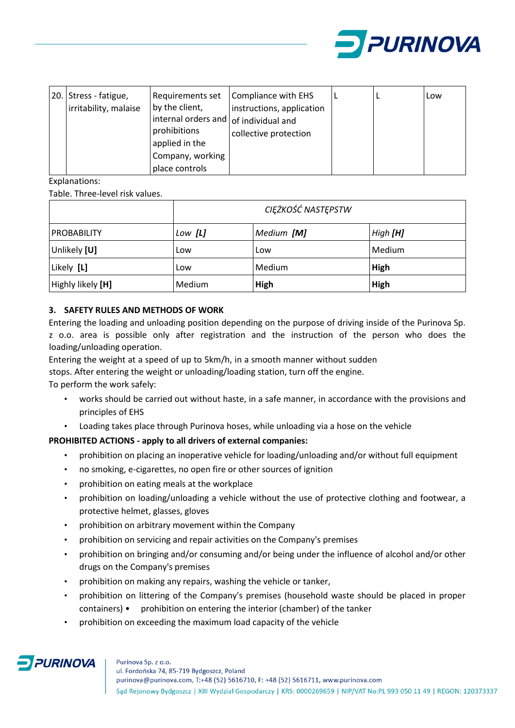

|  | 20. Stress - fatigue,<br>irritability, malaise | Requirements set<br>by the client,<br>internal orders and of individual and<br>prohibitions<br>applied in the<br>Company, working<br>place controls | Compliance with EHS<br>instructions, application<br>collective protection |  |  | Low |
|--|------------------------------------------------|-----------------------------------------------------------------------------------------------------------------------------------------------------|---------------------------------------------------------------------------|--|--|-----|
|--|------------------------------------------------|-----------------------------------------------------------------------------------------------------------------------------------------------------|---------------------------------------------------------------------------|--|--|-----|

Explanations:

Table. Three-level risk values.

|                    | CIĘŻKOŚĆ NASTĘPSTW |            |          |
|--------------------|--------------------|------------|----------|
| <b>PROBABILITY</b> | Low [ <b>L</b> ]   | Medium [M] | High [H] |
| Unlikely [U]       | Low                | Low        | Medium   |
| Likely [L]         | Low                | Medium     | High     |
| Highly likely [H]  | Medium             | High       | High     |

# <span id="page-5-0"></span>**3. SAFETY RULES AND METHODS OF WORK**

Entering the loading and unloading position depending on the purpose of driving inside of the Purinova Sp. z o.o. area is possible only after registration and the instruction of the person who does the loading/unloading operation.

Entering the weight at a speed of up to 5km/h, in a smooth manner without sudden

stops. After entering the weight or unloading/loading station, turn off the engine.

To perform the work safely:

- works should be carried out without haste, in a safe manner, in accordance with the provisions and principles of EHS
- Loading takes place through Purinova hoses, while unloading via a hose on the vehicle

# **PROHIBITED ACTIONS - apply to all drivers of external companies:**

- prohibition on placing an inoperative vehicle for loading/unloading and/or without full equipment
- no smoking, e-cigarettes, no open fire or other sources of ignition
- prohibition on eating meals at the workplace
- prohibition on loading/unloading a vehicle without the use of protective clothing and footwear, a protective helmet, glasses, gloves
- prohibition on arbitrary movement within the Company
- prohibition on servicing and repair activities on the Company's premises
- prohibition on bringing and/or consuming and/or being under the influence of alcohol and/or other drugs on the Company's premises
- prohibition on making any repairs, washing the vehicle or tanker,
- prohibition on littering of the Company's premises (household waste should be placed in proper containers) • prohibition on entering the interior (chamber) of the tanker
- prohibition on exceeding the maximum load capacity of the vehicle

# **PURINOVA**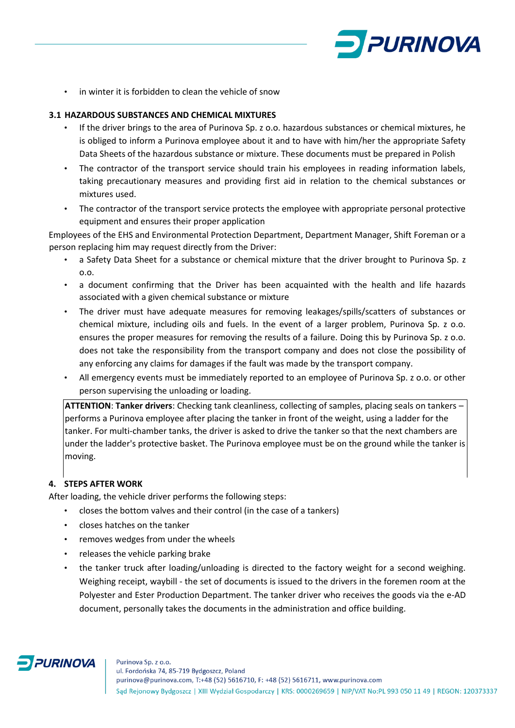

• in winter it is forbidden to clean the vehicle of snow

#### <span id="page-6-0"></span>**3.1 HAZARDOUS SUBSTANCES AND CHEMICAL MIXTURES**

- If the driver brings to the area of Purinova Sp. z o.o. hazardous substances or chemical mixtures, he is obliged to inform a Purinova employee about it and to have with him/her the appropriate Safety Data Sheets of the hazardous substance or mixture. These documents must be prepared in Polish
- The contractor of the transport service should train his employees in reading information labels, taking precautionary measures and providing first aid in relation to the chemical substances or mixtures used.
- The contractor of the transport service protects the employee with appropriate personal protective equipment and ensures their proper application

Employees of the EHS and Environmental Protection Department, Department Manager, Shift Foreman or a person replacing him may request directly from the Driver:

- a Safety Data Sheet for a substance or chemical mixture that the driver brought to Purinova Sp. z o.o.
- a document confirming that the Driver has been acquainted with the health and life hazards associated with a given chemical substance or mixture
- The driver must have adequate measures for removing leakages/spills/scatters of substances or chemical mixture, including oils and fuels. In the event of a larger problem, Purinova Sp. z o.o. ensures the proper measures for removing the results of a failure. Doing this by Purinova Sp. z o.o. does not take the responsibility from the transport company and does not close the possibility of any enforcing any claims for damages if the fault was made by the transport company.
- All emergency events must be immediately reported to an employee of Purinova Sp. z o.o. or other person supervising the unloading or loading.

**ATTENTION**: **Tanker drivers**: Checking tank cleanliness, collecting of samples, placing seals on tankers – performs a Purinova employee after placing the tanker in front of the weight, using a ladder for the tanker. For multi-chamber tanks, the driver is asked to drive the tanker so that the next chambers are under the ladder's protective basket. The Purinova employee must be on the ground while the tanker is moving.

# <span id="page-6-1"></span>**4. STEPS AFTER WORK**

After loading, the vehicle driver performs the following steps:

- closes the bottom valves and their control (in the case of a tankers)
- closes hatches on the tanker
- removes wedges from under the wheels
- releases the vehicle parking brake
- the tanker truck after loading/unloading is directed to the factory weight for a second weighing. Weighing receipt, waybill - the set of documents is issued to the drivers in the foremen room at the Polyester and Ester Production Department. The tanker driver who receives the goods via the e-AD document, personally takes the documents in the administration and office building.

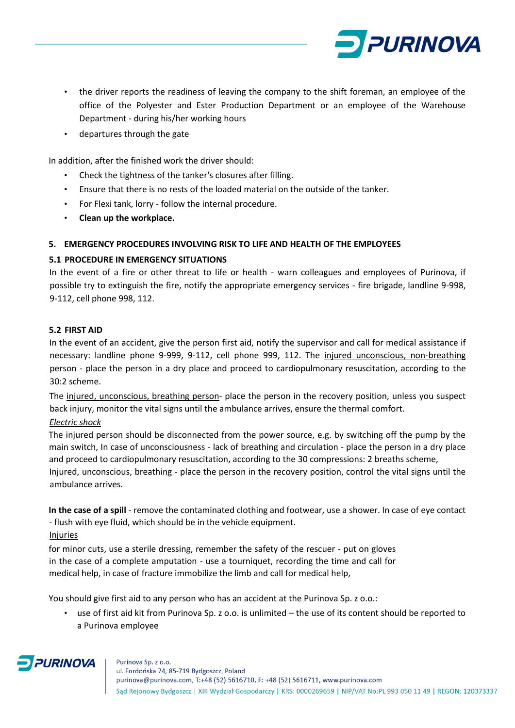

- the driver reports the readiness of leaving the company to the shift foreman, an employee of the office of the Polyester and Ester Production Department or an employee of the Warehouse Department - during his/her working hours
- departures through the gate

In addition, after the finished work the driver should:

- Check the tightness of the tanker's closures after filling.
- Ensure that there is no rests of the loaded material on the outside of the tanker.
- For Flexi tank, lorry follow the internal procedure.
- **Clean up the workplace.**

# <span id="page-7-0"></span>**5. EMERGENCY PROCEDURES INVOLVING RISK TO LIFE AND HEALTH OF THE EMPLOYEES**

# <span id="page-7-1"></span>**5.1 PROCEDURE IN EMERGENCY SITUATIONS**

In the event of a fire or other threat to life or health - warn colleagues and employees of Purinova, if possible try to extinguish the fire, notify the appropriate emergency services - fire brigade, landline 9-998, 9-112, cell phone 998, 112.

#### <span id="page-7-2"></span>**5.2 FIRST AID**

In the event of an accident, give the person first aid, notify the supervisor and call for medical assistance if necessary: landline phone 9-999, 9-112, cell phone 999, 112. The injured unconscious, non-breathing person - place the person in a dry place and proceed to cardiopulmonary resuscitation, according to the 30:2 scheme.

The injured, unconscious, breathing person- place the person in the recovery position, unless you suspect back injury, monitor the vital signs until the ambulance arrives, ensure the thermal comfort.

# *Electric shock*

The injured person should be disconnected from the power source, e.g. by switching off the pump by the main switch, In case of unconsciousness - lack of breathing and circulation - place the person in a dry place and proceed to cardiopulmonary resuscitation, according to the 30 compressions: 2 breaths scheme,

Injured, unconscious, breathing - place the person in the recovery position, control the vital signs until the ambulance arrives.

**In the case of a spill** - remove the contaminated clothing and footwear, use a shower. In case of eye contact - flush with eye fluid, which should be in the vehicle equipment. Injuries

for minor cuts, use a sterile dressing, remember the safety of the rescuer - put on gloves in the case of a complete amputation - use a tourniquet, recording the time and call for medical help, in case of fracture immobilize the limb and call for medical help,

You should give first aid to any person who has an accident at the Purinova Sp. z o.o.:

• use of first aid kit from Purinova Sp. z o.o. is unlimited – the use of its content should be reported to a Purinova employee

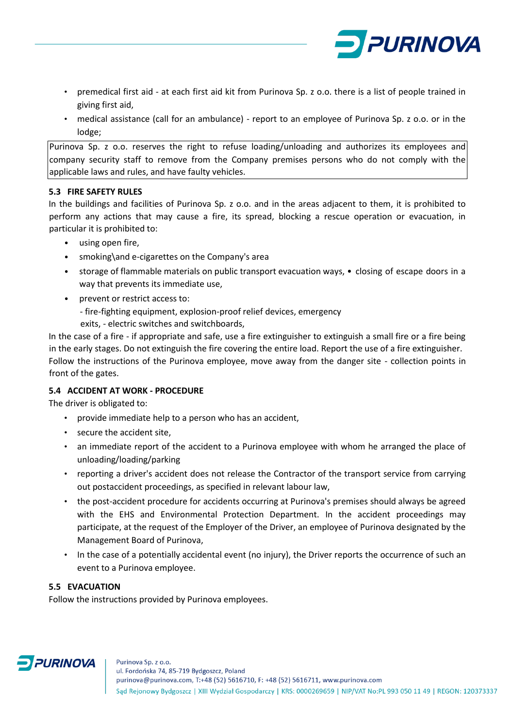

- premedical first aid at each first aid kit from Purinova Sp. z o.o. there is a list of people trained in giving first aid,
- medical assistance (call for an ambulance) report to an employee of Purinova Sp. z o.o. or in the lodge;

Purinova Sp. z o.o. reserves the right to refuse loading/unloading and authorizes its employees and company security staff to remove from the Company premises persons who do not comply with the applicable laws and rules, and have faulty vehicles.

# <span id="page-8-0"></span>**5.3 FIRE SAFETY RULES**

In the buildings and facilities of Purinova Sp. z o.o. and in the areas adjacent to them, it is prohibited to perform any actions that may cause a fire, its spread, blocking a rescue operation or evacuation, in particular it is prohibited to:

- using open fire,
- smoking\and e-cigarettes on the Company's area
- storage of flammable materials on public transport evacuation ways, closing of escape doors in a way that prevents its immediate use,
- prevent or restrict access to:
	- fire-fighting equipment, explosion-proof relief devices, emergency
	- exits, electric switches and switchboards,

In the case of a fire - if appropriate and safe, use a fire extinguisher to extinguish a small fire or a fire being in the early stages. Do not extinguish the fire covering the entire load. Report the use of a fire extinguisher. Follow the instructions of the Purinova employee, move away from the danger site - collection points in front of the gates.

# <span id="page-8-1"></span>**5.4 ACCIDENT AT WORK - PROCEDURE**

The driver is obligated to:

- provide immediate help to a person who has an accident,
- secure the accident site,
- an immediate report of the accident to a Purinova employee with whom he arranged the place of unloading/loading/parking
- reporting a driver's accident does not release the Contractor of the transport service from carrying out postaccident proceedings, as specified in relevant labour law,
- the post-accident procedure for accidents occurring at Purinova's premises should always be agreed with the EHS and Environmental Protection Department. In the accident proceedings may participate, at the request of the Employer of the Driver, an employee of Purinova designated by the Management Board of Purinova,
- In the case of a potentially accidental event (no injury), the Driver reports the occurrence of such an event to a Purinova employee.

### <span id="page-8-2"></span>**5.5 EVACUATION**

Follow the instructions provided by Purinova employees.